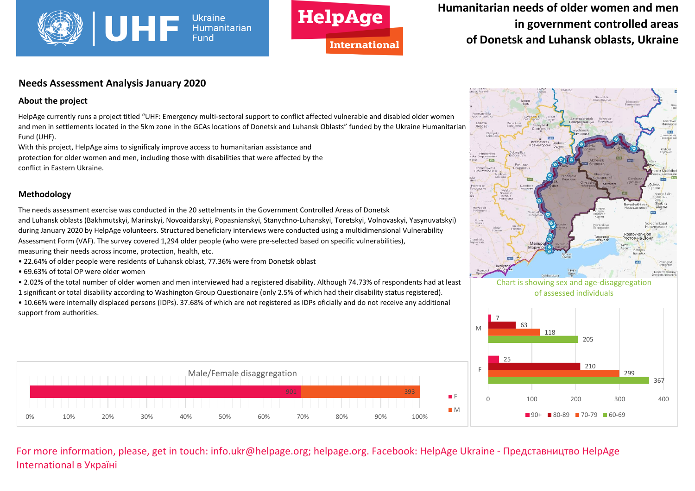



# **Humanitarian needs of older women and men in government controlled areas of Donetsk and Luhansk oblasts, Ukraine**

#### **Needs Assessment Analysis January 2020**

#### **About the project**

HelpAge currently runs a project titled "UHF: Emergency multi-sectoral support to conflict affected vulnerable and disabled older women and men in settlements located in the 5km zone in the GCAs locations of Donetsk and Luhansk Oblasts" funded by the Ukraine Humanitarian Fund (UHF).

With this project, HelpAge aims to significaly improve access to humanitarian assistance and protection for older women and men, including those with disabilities that were affected by the conflict in Eastern Ukraine.

#### **Methodology**

The needs assessment exercise was conducted in the 20 settelments in the Government Controlled Areas of Donetsk and Luhansk oblasts (Bakhmutskyi, Marinskyi, Novoaidarskyi, Popasnianskyi, Stanychno-Luhanskyi, Toretskyi, Volnovaskyi, Yasynuvatskyi) during January 2020 by HelpAge volunteers. Structured beneficiary interviews were conducted using a multidimensional Vulnerability Assessment Form (VAF). The survey covered 1,294 older people (who were pre-selected based on specific vulnerabilities), measuring their needs across income, protection, health, etc.

- 22.64% of older people were residents of Luhansk oblast, 77.36% were from Donetsk oblast
- 69.63% of total OP were older women

• 2.02% of the total number of older women and men interviewed had a registered disability. Although 74.73% of respondents had at least

1 significant or total disability according to Washington Group Questionaire (only 2.5% of which had their disability status registered).

• 10.66% were internally displaced persons (IDPs). 37.68% of which are not registered as IDPs oficially and do not receive any additional support from authorities.





0 100 200 300 400

 $\blacksquare$ 90+  $\blacksquare$ 80-89  $\blacksquare$ 70-79  $\blacksquare$ 60-69

367

For more information, please, get in touch: info.ukr@helpage.org; helpage.org. Facebook: HelpAge Ukraine - Представництво HelpAge International в Україні